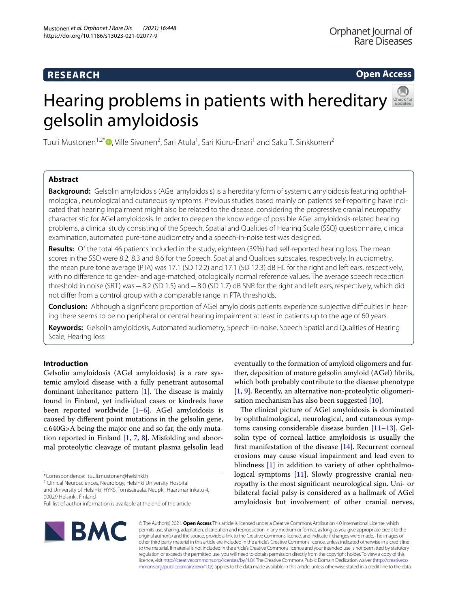**Open Access**

# Hearing problems in patients with hereditary gelsolin amyloidosis



Tuuli Mustonen<sup>1,2\*</sup>®[,](http://orcid.org/0000-0002-9551-3022) Ville Sivonen<sup>2</sup>, Sari Atula<sup>1</sup>, Sari Kiuru-Enari<sup>1</sup> and Saku T. Sinkkonen<sup>2</sup>

# **Abstract**

**Background:** Gelsolin amyloidosis (AGel amyloidosis) is a hereditary form of systemic amyloidosis featuring ophthal‑ mological, neurological and cutaneous symptoms. Previous studies based mainly on patients' self-reporting have indicated that hearing impairment might also be related to the disease, considering the progressive cranial neuropathy characteristic for AGel amyloidosis. In order to deepen the knowledge of possible AGel amyloidosis-related hearing problems, a clinical study consisting of the Speech, Spatial and Qualities of Hearing Scale (SSQ) questionnaire, clinical examination, automated pure-tone audiometry and a speech-in-noise test was designed.

**Results:** Of the total 46 patients included in the study, eighteen (39%) had self-reported hearing loss. The mean scores in the SSQ were 8.2, 8.3 and 8.6 for the Speech, Spatial and Qualities subscales, respectively. In audiometry, the mean pure tone average (PTA) was 17.1 (SD 12.2) and 17.1 (SD 12.3) dB HL for the right and left ears, respectively, with no diference to gender- and age-matched, otologically normal reference values. The average speech reception threshold in noise (SRT) was−8.2 (SD 1.5) and−8.0 (SD 1.7) dB SNR for the right and left ears, respectively, which did not difer from a control group with a comparable range in PTA thresholds.

**Conclusion:** Although a significant proportion of AGel amyloidosis patients experience subjective difficulties in hearing there seems to be no peripheral or central hearing impairment at least in patients up to the age of 60 years.

**Keywords:** Gelsolin amyloidosis, Automated audiometry, Speech-in-noise, Speech Spatial and Qualities of Hearing Scale, Hearing loss

# **Introduction**

Gelsolin amyloidosis (AGel amyloidosis) is a rare systemic amyloid disease with a fully penetrant autosomal dominant inheritance pattern  $[1]$  $[1]$ . The disease is mainly found in Finland, yet individual cases or kindreds have been reported worldwide [[1–](#page-6-0)[6\]](#page-6-1). AGel amyloidosis is caused by diferent point mutations in the gelsolin gene, c.640G>A being the major one and so far, the only mutation reported in Finland [\[1](#page-6-0), [7,](#page-6-2) [8\]](#page-6-3). Misfolding and abnormal proteolytic cleavage of mutant plasma gelsolin lead

\*Correspondence: tuuli.mustonen@helsinki.f

<sup>1</sup> Clinical Neurosciences, Neurology, Helsinki University Hospital and University of Helsinki, HYKS, Tornisairaala, Neupkl, Haartmaninkatu 4,

00029 Helsinki, Finland Full list of author information is available at the end of the article

eventually to the formation of amyloid oligomers and further, deposition of mature gelsolin amyloid (AGel) fbrils, which both probably contribute to the disease phenotype [[1,](#page-6-0) [9\]](#page-7-0). Recently, an alternative non-proteolytic oligomerisation mechanism has also been suggested [\[10](#page-7-1)].

The clinical picture of AGel amyloidosis is dominated by ophthalmological, neurological, and cutaneous symptoms causing considerable disease burden [\[11](#page-7-2)–[13\]](#page-7-3). Gelsolin type of corneal lattice amyloidosis is usually the frst manifestation of the disease [[14\]](#page-7-4). Recurrent corneal erosions may cause visual impairment and lead even to blindness [[1\]](#page-6-0) in addition to variety of other ophthalmo-logical symptoms [[11\]](#page-7-2). Slowly progressive cranial neuropathy is the most signifcant neurological sign. Uni- or bilateral facial palsy is considered as a hallmark of AGel amyloidosis but involvement of other cranial nerves,



© The Author(s) 2021. **Open Access** This article is licensed under a Creative Commons Attribution 4.0 International License, which permits use, sharing, adaptation, distribution and reproduction in any medium or format, as long as you give appropriate credit to the original author(s) and the source, provide a link to the Creative Commons licence, and indicate if changes were made. The images or other third party material in this article are included in the article's Creative Commons licence, unless indicated otherwise in a credit line to the material. If material is not included in the article's Creative Commons licence and your intended use is not permitted by statutory regulation or exceeds the permitted use, you will need to obtain permission directly from the copyright holder. To view a copy of this licence, visit [http://creativecommons.org/licenses/by/4.0/.](http://creativecommons.org/licenses/by/4.0/) The Creative Commons Public Domain Dedication waiver ([http://creativeco](http://creativecommons.org/publicdomain/zero/1.0/) [mmons.org/publicdomain/zero/1.0/](http://creativecommons.org/publicdomain/zero/1.0/)) applies to the data made available in this article, unless otherwise stated in a credit line to the data.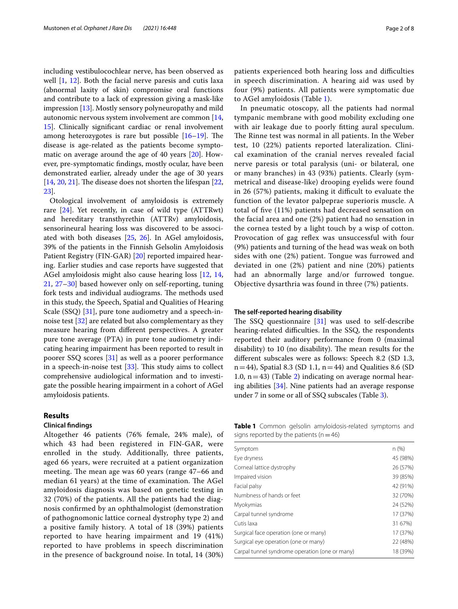including vestibulocochlear nerve, has been observed as well [[1,](#page-6-0) [12](#page-7-5)]. Both the facial nerve paresis and cutis laxa (abnormal laxity of skin) compromise oral functions and contribute to a lack of expression giving a mask-like impression [\[13\]](#page-7-3). Mostly sensory polyneuropathy and mild autonomic nervous system involvement are common [\[14](#page-7-4), [15\]](#page-7-6). Clinically signifcant cardiac or renal involvement among heterozygotes is rare but possible  $[16–19]$  $[16–19]$  $[16–19]$  $[16–19]$ . The disease is age-related as the patients become symptomatic on average around the age of 40 years [[20\]](#page-7-9). However, pre-symptomatic fndings, mostly ocular, have been demonstrated earlier, already under the age of 30 years  $[14, 20, 21]$  $[14, 20, 21]$  $[14, 20, 21]$  $[14, 20, 21]$  $[14, 20, 21]$  $[14, 20, 21]$ . The disease does not shorten the lifespan  $[22, 1]$  $[22, 1]$ [23\]](#page-7-12).

Otological involvement of amyloidosis is extremely rare [[24\]](#page-7-13). Yet recently, in case of wild type (ATTRwt) and hereditary transthyrethin (ATTRv) amyloidosis, sensorineural hearing loss was discovered to be associated with both diseases [\[25,](#page-7-14) [26](#page-7-15)]. In AGel amyloidosis, 39% of the patients in the Finnish Gelsolin Amyloidosis Patient Registry (FIN-GAR) [\[20](#page-7-9)] reported impaired hearing. Earlier studies and case reports have suggested that AGel amyloidosis might also cause hearing loss [[12,](#page-7-5) [14](#page-7-4), [21,](#page-7-10) [27–](#page-7-16)[30](#page-7-17)] based however only on self-reporting, tuning fork tests and individual audiograms. The methods used in this study, the Speech, Spatial and Qualities of Hearing Scale (SSQ) [[31\]](#page-7-18), pure tone audiometry and a speech-innoise test [[32\]](#page-7-19) are related but also complementary as they measure hearing from diferent perspectives. A greater pure tone average (PTA) in pure tone audiometry indicating hearing impairment has been reported to result in poorer SSQ scores [\[31](#page-7-18)] as well as a poorer performance in a speech-in-noise test  $[33]$  $[33]$ . This study aims to collect comprehensive audiological information and to investigate the possible hearing impairment in a cohort of AGel amyloidosis patients.

## **Results**

#### **Clinical fndings**

Altogether 46 patients (76% female, 24% male), of which 43 had been registered in FIN-GAR, were enrolled in the study. Additionally, three patients, aged 66 years, were recruited at a patient organization meeting. The mean age was 60 years (range 47–66 and median 61 years) at the time of examination. The AGel amyloidosis diagnosis was based on genetic testing in 32 (70%) of the patients. All the patients had the diagnosis confrmed by an ophthalmologist (demonstration of pathognomonic lattice corneal dystrophy type 2) and a positive family history. A total of 18 (39%) patients reported to have hearing impairment and 19 (41%) reported to have problems in speech discrimination in the presence of background noise. In total, 14 (30%) patients experienced both hearing loss and difficulties in speech discrimination. A hearing aid was used by four (9%) patients. All patients were symptomatic due to AGel amyloidosis (Table [1](#page-1-0)).

In pneumatic otoscopy, all the patients had normal tympanic membrane with good mobility excluding one with air leakage due to poorly ftting aural speculum. The Rinne test was normal in all patients. In the Weber test, 10 (22%) patients reported lateralization. Clinical examination of the cranial nerves revealed facial nerve paresis or total paralysis (uni- or bilateral, one or many branches) in 43 (93%) patients. Clearly (symmetrical and disease-like) drooping eyelids were found in  $26$  (57%) patients, making it difficult to evaluate the function of the levator palpeprae superioris muscle. A total of fve (11%) patients had decreased sensation on the facial area and one (2%) patient had no sensation in the cornea tested by a light touch by a wisp of cotton. Provocation of gag reflex was unsuccessful with four (9%) patients and turning of the head was weak on both sides with one (2%) patient. Tongue was furrowed and deviated in one (2%) patient and nine (20%) patients had an abnormally large and/or furrowed tongue. Objective dysarthria was found in three (7%) patients.

#### **The self‑reported hearing disability**

The SSQ questionnaire  $[31]$  $[31]$  $[31]$  was used to self-describe hearing-related difficulties. In the SSQ, the respondents reported their auditory performance from 0 (maximal disability) to 10 (no disability). The mean results for the diferent subscales were as follows: Speech 8.2 (SD 1.3,  $n=44$ ), Spatial 8.3 (SD 1.1,  $n=44$ ) and Qualities 8.6 (SD 1.0,  $n=43$ ) (Table [2](#page-2-0)) indicating on average normal hearing abilities [[34\]](#page-7-21). Nine patients had an average response under 7 in some or all of SSQ subscales (Table [3\)](#page-2-1).

<span id="page-1-0"></span>**Table 1** Common gelsolin amyloidosis-related symptoms and signs reported by the patients ( $n=46$ )

| n(%)     |
|----------|
| 45 (98%) |
| 26 (57%) |
| 39 (85%) |
| 42 (91%) |
| 32 (70%) |
| 24 (52%) |
| 17 (37%) |
| 31 67%)  |
| 17 (37%) |
| 22 (48%) |
| 18 (39%) |
|          |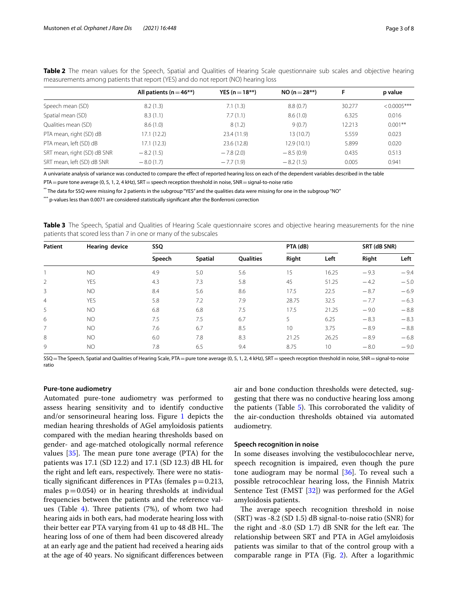|                             | All patients ( $n = 46**$ ) | YES (n = $18**$ ) | $NO (n = 28**)$ | F      | p value        |
|-----------------------------|-----------------------------|-------------------|-----------------|--------|----------------|
| Speech mean (SD)            | 8.2(1.3)                    | 7.1(1.3)          | 8.8(0.7)        | 30.277 | $< 0.0005$ *** |
| Spatial mean (SD)           | 8.3(1.1)                    | 7.7(1.1)          | 8.6(1.0)        | 6.325  | 0.016          |
| Qualities mean (SD)         | 8.6(1.0)                    | 8(1.2)            | 9(0.7)          | 12.213 | $0.001**$      |
| PTA mean, right (SD) dB     | 17.1 (12.2)                 | 23.4 (11.9)       | 13 (10.7)       | 5.559  | 0.023          |
| PTA mean, left (SD) dB      | 17.1(12.3)                  | 23.6 (12.8)       | 12.9 (10.1)     | 5.899  | 0.020          |
| SRT mean, right (SD) dB SNR | $-8.2(1.5)$                 | $-7.8(2.0)$       | $-8.5(0.9)$     | 0.435  | 0.513          |
| SRT mean, left (SD) dB SNR  | $-8.0(1.7)$                 | $-7.7(1.9)$       | $-8.2(1.5)$     | 0.005  | 0.941          |

<span id="page-2-0"></span>**Table 2** The mean values for the Speech, Spatial and Qualities of Hearing Scale questionnaire sub scales and objective hearing measurements among patients that report (YES) and do not report (NO) hearing loss

A univariate analysis of variance was conducted to compare the efect of reported hearing loss on each of the dependent variables described in the table

PTA = pure tone average (0, 5, 1, 2, 4 kHz), SRT = speech reception threshold in noise, SNR = signal-to-noise ratio

\*\* The data for SSQ were missing for 2 patients in the subgroup "YES" and the qualities data were missing for one in the subgroup "NO"

\*\*\* p-values less than 0.0071 are considered statistically signifcant after the Bonferroni correction

<span id="page-2-1"></span>**Table 3** The Speech, Spatial and Qualities of Hearing Scale questionnaire scores and objective hearing measurements for the nine patients that scored less than 7 in one or many of the subscales

| Patient<br>Hearing device |            | SSQ    |                |                  | PTA (dB) |       | SRT (dB SNR) |        |
|---------------------------|------------|--------|----------------|------------------|----------|-------|--------------|--------|
|                           |            | Speech | <b>Spatial</b> | <b>Oualities</b> | Right    | Left  | Right        | Left   |
|                           | <b>NO</b>  | 4.9    | 5.0            | 5.6              | 15       | 16.25 | $-9.3$       | $-9.4$ |
| $\overline{2}$            | YES        | 4.3    | 7.3            | 5.8              | 45       | 51.25 | $-4.2$       | $-5.0$ |
| 3                         | NO.        | 8.4    | 5.6            | 8.6              | 17.5     | 22.5  | $-8.7$       | $-6.9$ |
| $\overline{4}$            | <b>YES</b> | 5.8    | 7.2            | 7.9              | 28.75    | 32.5  | $-7.7$       | $-6.3$ |
| 5                         | NO.        | 6.8    | 6.8            | 7.5              | 17.5     | 21.25 | $-9.0$       | $-8.8$ |
| 6                         | NO.        | 7.5    | 7.5            | 6.7              | 5        | 6.25  | $-8.3$       | $-8.3$ |
| $\overline{7}$            | NO.        | 7.6    | 6.7            | 8.5              | 10       | 3.75  | $-8.9$       | $-8.8$ |
| 8                         | NO.        | 6.0    | 7.8            | 8.3              | 21.25    | 26.25 | $-8.9$       | $-6.8$ |
| 9                         | <b>NO</b>  | 7.8    | 6.5            | 9.4              | 8.75     | 10    | $-8.0$       | $-9.0$ |

SSQ = The Speech, Spatial and Qualities of Hearing Scale, PTA = pure tone average (0, 5, 1, 2, 4 kHz), SRT = speech reception threshold in noise, SNR = signal-to-noise ratio

#### **Pure‑tone audiometry**

Automated pure-tone audiometry was performed to assess hearing sensitivity and to identify conductive and/or sensorineural hearing loss. Figure [1](#page-3-0) depicts the median hearing thresholds of AGel amyloidosis patients compared with the median hearing thresholds based on gender- and age-matched otologically normal reference values  $[35]$ . The mean pure tone average (PTA) for the patients was 17.1 (SD 12.2) and 17.1 (SD 12.3) dB HL for the right and left ears, respectively. There were no statistically significant differences in PTAs (females  $p = 0.213$ , males  $p=0.054$ ) or in hearing thresholds at individual frequencies between the patients and the reference val-ues (Table [4](#page-3-1)). Three patients  $(7%)$ , of whom two had hearing aids in both ears, had moderate hearing loss with their better ear PTA varying from 41 up to 48 dB HL. The hearing loss of one of them had been discovered already at an early age and the patient had received a hearing aids at the age of 40 years. No signifcant diferences between air and bone conduction thresholds were detected, suggesting that there was no conductive hearing loss among the patients (Table  $5$ ). This corroborated the validity of the air-conduction thresholds obtained via automated audiometry.

#### **Speech recognition in noise**

In some diseases involving the vestibulocochlear nerve, speech recognition is impaired, even though the pure tone audiogram may be normal  $[36]$  $[36]$ . To reveal such a possible retrocochlear hearing loss, the Finnish Matrix Sentence Test (FMST [[32\]](#page-7-19)) was performed for the AGel amyloidosis patients.

The average speech recognition threshold in noise (SRT) was -8.2 (SD 1.5) dB signal-to-noise ratio (SNR) for the right and  $-8.0$  (SD 1.7) dB SNR for the left ear. The relationship between SRT and PTA in AGel amyloidosis patients was similar to that of the control group with a comparable range in PTA (Fig. [2\)](#page-4-0). After a logarithmic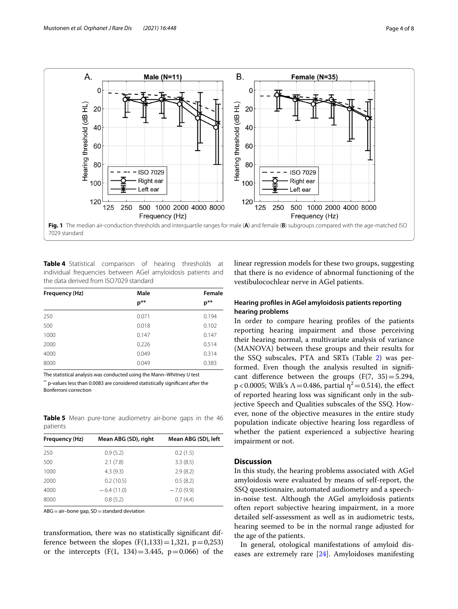

<span id="page-3-1"></span><span id="page-3-0"></span>**Table 4** Statistical comparison of hearing thresholds at individual frequencies between AGel amyloidosis patients and the data derived from ISO7029 standard

| Frequency (Hz) | Male     | Female |
|----------------|----------|--------|
|                | $p^{**}$ | $p**$  |
| 250            | 0.071    | 0.194  |
| 500            | 0.018    | 0.102  |
| 1000           | 0.147    | 0.147  |
| 2000           | 0.226    | 0.514  |
| 4000           | 0.049    | 0.314  |
| 8000           | 0.049    | 0.383  |

The statistical analysis was conducted using the Mann–Whitney U test

\*\* p-values less than 0.0083 are considered statistically signifcant after the Bonferroni correction

<span id="page-3-2"></span>**Table 5** Mean pure-tone audiometry air-bone gaps in the 46 patients

| Frequency (Hz) | Mean ABG (SD), right | Mean ABG (SD), left |
|----------------|----------------------|---------------------|
| 250            | 0.9(5.2)             | 0.2(1.5)            |
| 500            | 2.1(7.8)             | 3.3(8.5)            |
| 1000           | 4.3(9.3)             | 2.9(8.2)            |
| 2000           | 0.2(10.5)            | 0.5(8.2)            |
| 4000           | $-6.4(11.0)$         | $-7.0(9.9)$         |
| 8000           | 0.8(5.2)             | 0.7(4.4)            |

 $ABG=$ air–bone gap,  $SD=$ standard deviation

transformation, there was no statistically signifcant difference between the slopes  $(F(1,133)=1,321, p=0,253)$ or the intercepts  $(F(1, 134)=3.445, p=0.066)$  of the linear regression models for these two groups, suggesting that there is no evidence of abnormal functioning of the vestibulocochlear nerve in AGel patients.

# **Hearing profles in AGel amyloidosis patients reporting hearing problems**

In order to compare hearing profles of the patients reporting hearing impairment and those perceiving their hearing normal, a multivariate analysis of variance (MANOVA) between these groups and their results for the SSQ subscales, PTA and SRTs (Table [2\)](#page-2-0) was performed. Even though the analysis resulted in signifcant difference between the groups  $(F(7, 35)=5.294,$ p < 0.0005; Wilk's  $\Lambda$  = 0.486, partial  $\eta^2$  = 0.514), the effect of reported hearing loss was signifcant only in the subjective Speech and Qualities subscales of the SSQ. However, none of the objective measures in the entire study population indicate objective hearing loss regardless of whether the patient experienced a subjective hearing impairment or not.

# **Discussion**

In this study, the hearing problems associated with AGel amyloidosis were evaluated by means of self-report, the SSQ questionnaire, automated audiometry and a speechin-noise test. Although the AGel amyloidosis patients often report subjective hearing impairment, in a more detailed self-assessment as well as in audiometric tests, hearing seemed to be in the normal range adjusted for the age of the patients.

In general, otological manifestations of amyloid diseases are extremely rare [[24](#page-7-13)]. Amyloidoses manifesting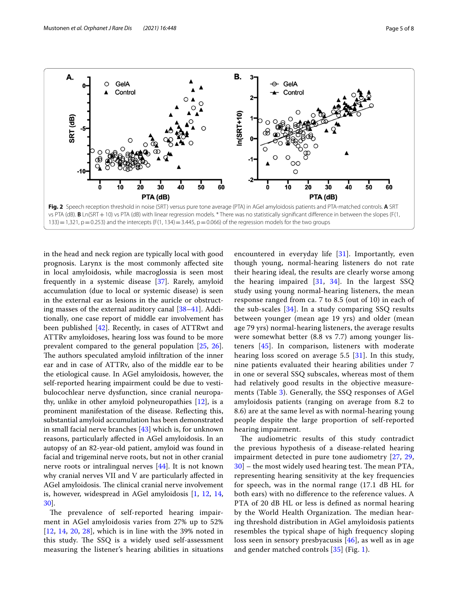<span id="page-4-0"></span>in the head and neck region are typically local with good prognosis. Larynx is the most commonly afected site in local amyloidosis, while macroglossia is seen most frequently in a systemic disease [[37\]](#page-7-24). Rarely, amyloid accumulation (due to local or systemic disease) is seen in the external ear as lesions in the auricle or obstructing masses of the external auditory canal [[38–](#page-7-25)[41](#page-7-26)]. Additionally, one case report of middle ear involvement has been published [\[42](#page-7-27)]. Recently, in cases of ATTRwt and ATTRv amyloidoses, hearing loss was found to be more prevalent compared to the general population [\[25](#page-7-14), [26](#page-7-15)]. The authors speculated amyloid infiltration of the inner ear and in case of ATTRv, also of the middle ear to be the etiological cause. In AGel amyloidosis, however, the self-reported hearing impairment could be due to vestibulocochlear nerve dysfunction, since cranial neuropathy, unlike in other amyloid polyneuropathies [[12\]](#page-7-5), is a prominent manifestation of the disease. Refecting this, substantial amyloid accumulation has been demonstrated in small facial nerve branches [\[43](#page-7-28)] which is, for unknown reasons, particularly afected in AGel amyloidosis. In an autopsy of an 82-year-old patient, amyloid was found in facial and trigeminal nerve roots, but not in other cranial nerve roots or intralingual nerves [[44\]](#page-7-29). It is not known why cranial nerves VII and V are particularly afected in AGel amyloidosis. The clinical cranial nerve involvement is, however, widespread in AGel amyloidosis [[1,](#page-6-0) [12](#page-7-5), [14](#page-7-4),

The prevalence of self-reported hearing impairment in AGel amyloidosis varies from 27% up to 52%  $[12, 14, 20, 28]$  $[12, 14, 20, 28]$  $[12, 14, 20, 28]$  $[12, 14, 20, 28]$  $[12, 14, 20, 28]$  $[12, 14, 20, 28]$  $[12, 14, 20, 28]$  $[12, 14, 20, 28]$  $[12, 14, 20, 28]$ , which is in line with the 39% noted in this study. The SSQ is a widely used self-assessment measuring the listener's hearing abilities in situations

[30\]](#page-7-17).

encountered in everyday life  $[31]$  $[31]$ . Importantly, even though young, normal-hearing listeners do not rate their hearing ideal, the results are clearly worse among the hearing impaired  $[31, 34]$  $[31, 34]$  $[31, 34]$  $[31, 34]$ . In the largest SSQ study using young normal-hearing listeners, the mean response ranged from ca. 7 to 8.5 (out of 10) in each of the sub-scales [\[34](#page-7-21)]. In a study comparing SSQ results between younger (mean age 19 yrs) and older (mean age 79 yrs) normal-hearing listeners, the average results were somewhat better (8.8 vs 7.7) among younger listeners [[45\]](#page-7-31). In comparison, listeners with moderate hearing loss scored on average 5.5 [[31](#page-7-18)]. In this study, nine patients evaluated their hearing abilities under 7 in one or several SSQ subscales, whereas most of them had relatively good results in the objective measurements (Table [3](#page-2-1)). Generally, the SSQ responses of AGel amyloidosis patients (ranging on average from 8.2 to 8.6) are at the same level as with normal-hearing young people despite the large proportion of self-reported hearing impairment.

The audiometric results of this study contradict the previous hypothesis of a disease-related hearing impairment detected in pure tone audiometry [\[27](#page-7-16), [29](#page-7-32),  $30$  – the most widely used hearing test. The mean PTA, representing hearing sensitivity at the key frequencies for speech, was in the normal range (17.1 dB HL for both ears) with no diference to the reference values. A PTA of 20 dB HL or less is defined as normal hearing by the World Health Organization. The median hearing threshold distribution in AGel amyloidosis patients resembles the typical shape of high frequency sloping loss seen in sensory presbyacusis [\[46\]](#page-7-33), as well as in age and gender matched controls [\[35](#page-7-22)] (Fig. [1](#page-3-0)).

 $-10$  $\circ$ -2  $\dot{10}$  $\dot{30}$  $40$  $50$  $\dot{10}$  $\dot{20}$  $\dot{30}$  $40$  $50$ Ō  $\overline{20}$ 60 Ō 60 PTA (dB) PTA (dB) **Fig. 2** Speech reception threshold in noise (SRT) versus pure tone average (PTA) in AGel amyloidosis patients and PTA-matched controls. **A** SRT vs PTA (dB). **B** Ln(SRT + 10) vs PTA (dB) with linear regression models. \* There was no statistically significant difference in between the slopes (F(1, 133) = 1,321,  $p = 0.253$ ) and the intercepts (F(1, 134) = 3.445,  $p = 0.066$ ) of the regression models for the two groups

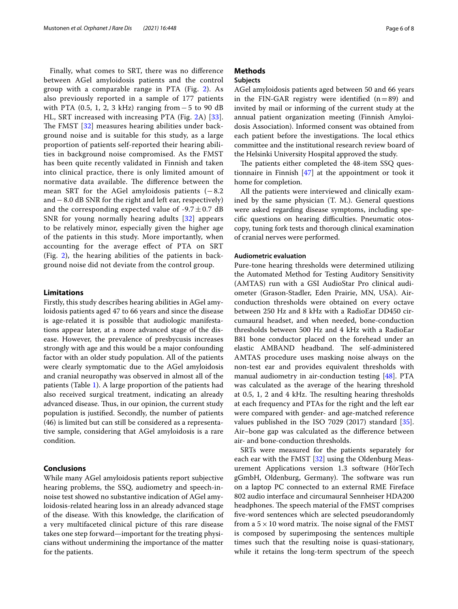Finally, what comes to SRT, there was no diference between AGel amyloidosis patients and the control group with a comparable range in PTA (Fig. [2\)](#page-4-0). As also previously reported in a sample of 177 patients with PTA (0.5, 1, 2, 3 kHz) ranging from − 5 to 90 dB HL, SRT increased with increasing PTA (Fig. [2A](#page-4-0)) [[33\]](#page-7-20). The FMST  $[32]$  $[32]$  measures hearing abilities under background noise and is suitable for this study, as a large proportion of patients self-reported their hearing abilities in background noise compromised. As the FMST has been quite recently validated in Finnish and taken into clinical practice, there is only limited amount of normative data available. The difference between the mean SRT for the AGel amyloidosis patients  $(-8.2)$ and−8.0 dB SNR for the right and left ear, respectively) and the corresponding expected value of  $-9.7 \pm 0.7$  dB SNR for young normally hearing adults [[32](#page-7-19)] appears to be relatively minor, especially given the higher age of the patients in this study. More importantly, when accounting for the average efect of PTA on SRT (Fig. [2\)](#page-4-0), the hearing abilities of the patients in background noise did not deviate from the control group.

## **Limitations**

Firstly, this study describes hearing abilities in AGel amyloidosis patients aged 47 to 66 years and since the disease is age-related it is possible that audiologic manifestations appear later, at a more advanced stage of the disease. However, the prevalence of presbycusis increases strongly with age and this would be a major confounding factor with an older study population. All of the patients were clearly symptomatic due to the AGel amyloidosis and cranial neuropathy was observed in almost all of the patients (Table [1](#page-1-0)). A large proportion of the patients had also received surgical treatment, indicating an already advanced disease. Thus, in our opinion, the current study population is justifed. Secondly, the number of patients (46) is limited but can still be considered as a representative sample, considering that AGel amyloidosis is a rare condition.

#### **Conclusions**

While many AGel amyloidosis patients report subjective hearing problems, the SSQ, audiometry and speech-innoise test showed no substantive indication of AGel amyloidosis-related hearing loss in an already advanced stage of the disease. With this knowledge, the clarifcation of a very multifaceted clinical picture of this rare disease takes one step forward—important for the treating physicians without undermining the importance of the matter for the patients.

# **Methods**

# **Subjects**

AGel amyloidosis patients aged between 50 and 66 years in the FIN-GAR registry were identified  $(n=89)$  and invited by mail or informing of the current study at the annual patient organization meeting (Finnish Amyloidosis Association). Informed consent was obtained from each patient before the investigations. The local ethics committee and the institutional research review board of the Helsinki University Hospital approved the study.

The patients either completed the 48-item SSQ questionnaire in Finnish [\[47](#page-7-34)] at the appointment or took it home for completion.

All the patients were interviewed and clinically examined by the same physician (T. M.). General questions were asked regarding disease symptoms, including specific questions on hearing difficulties. Pneumatic otoscopy, tuning fork tests and thorough clinical examination of cranial nerves were performed.

#### **Audiometric evaluation**

Pure-tone hearing thresholds were determined utilizing the Automated Method for Testing Auditory Sensitivity (AMTAS) run with a GSI AudioStar Pro clinical audiometer (Grason-Stadler, Eden Prairie, MN, USA). Airconduction thresholds were obtained on every octave between 250 Hz and 8 kHz with a RadioEar DD450 circumaural headset, and when needed, bone-conduction thresholds between 500 Hz and 4 kHz with a RadioEar B81 bone conductor placed on the forehead under an elastic AMBAND headband. The self-administered AMTAS procedure uses masking noise always on the non-test ear and provides equivalent thresholds with manual audiometry in air-conduction testing [[48\]](#page-7-35). PTA was calculated as the average of the hearing threshold at  $0.5$ ,  $1$ ,  $2$  and  $4$  kHz. The resulting hearing thresholds at each frequency and PTAs for the right and the left ear were compared with gender- and age-matched reference values published in the ISO 7029 (2017) standard [\[35](#page-7-22)]. Air–bone gap was calculated as the diference between air- and bone-conduction thresholds.

SRTs were measured for the patients separately for each ear with the FMST [[32\]](#page-7-19) using the Oldenburg Measurement Applications version 1.3 software (HörTech gGmbH, Oldenburg, Germany). The software was run on a laptop PC connected to an external RME Fireface 802 audio interface and circumaural Sennheiser HDA200 headphones. The speech material of the FMST comprises fve-word sentences which are selected pseudorandomly from a  $5 \times 10$  word matrix. The noise signal of the FMST is composed by superimposing the sentences multiple times such that the resulting noise is quasi-stationary, while it retains the long-term spectrum of the speech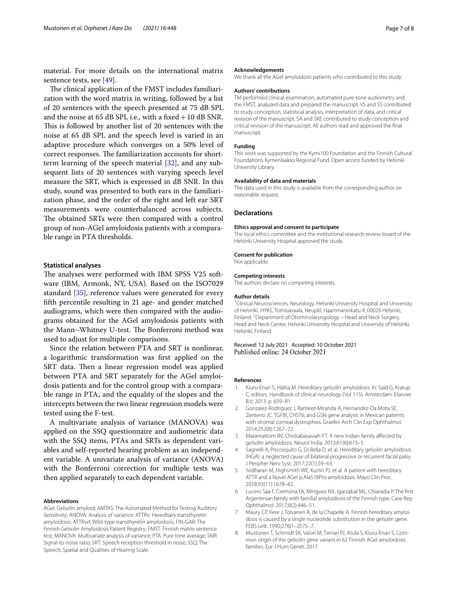material. For more details on the international matrix sentence tests, see [\[49](#page-7-36)].

The clinical application of the FMST includes familiarization with the word matrix in writing, followed by a list of 20 sentences with the speech presented at 75 dB SPL and the noise at  $65$  dB SPL i.e., with a fixed  $+10$  dB SNR. This is followed by another list of 20 sentences with the noise at 65 dB SPL and the speech level is varied in an adaptive procedure which converges on a 50% level of correct responses. The familiarization accounts for shortterm learning of the speech material [\[32](#page-7-19)], and any subsequent lists of 20 sentences with varying speech level measure the SRT, which is expressed in dB SNR. In this study, sound was presented to both ears in the familiarization phase, and the order of the right and left ear SRT measurements were counterbalanced across subjects. The obtained SRTs were then compared with a control group of non-AGel amyloidosis patients with a comparable range in PTA thresholds.

#### **Statistical analyses**

The analyses were performed with IBM SPSS V25 software (IBM, Armonk, NY, USA). Based on the ISO7029 standard [[35\]](#page-7-22), reference values were generated for every ffth percentile resulting in 21 age- and gender matched audiograms, which were then compared with the audiograms obtained for the AGel amyloidosis patients with the Mann–Whitney U-test. The Bonferroni method was used to adjust for multiple comparisons.

Since the relation between PTA and SRT is nonlinear, a logarithmic transformation was frst applied on the SRT data. Then a linear regression model was applied between PTA and SRT separately for the AGel amyloidosis patients and for the control group with a comparable range in PTA, and the equality of the slopes and the intercepts between the two linear regression models were tested using the F-test.

A multivariate analysis of variance (MANOVA) was applied on the SSQ questionnaire and audiometric data with the SSQ items, PTAs and SRTs as dependent variables and self-reported hearing problem as an independent variable. A univariate analysis of variance (ANOVA) with the Bonferroni correction for multiple tests was then applied separately to each dependent variable.

#### **Abbreviations**

AGel: Gelsolin amyloid; AMTAS: The Automated Method for Testing Auditory Sensitivity; ANOVA: Analysis of variance; ATTRv: Hereditary transthyretin amyloidosis; ATTRwt: Wild-type transthyretin amyloidosis; FIN-GAR: The Finnish Gelsolin Amyloidosis Patient Registry; FMST: Finnish matrix sentence test; MANOVA: Multivariate analysis of variance; PTA: Pure tone average; SNR: Signal-to-noise ratio; SRT: Speech reception threshold in noise; SSQ: The Speech, Spatial and Qualities of Hearing Scale.

#### **Acknowledgements**

We thank all the AGel amyloidosis patients who contributed to this study.

#### **Authors' contributions**

TM performed clinical examination, automated pure-tone audiometry and the FMST, analyzed data and prepared the manuscript. VS and SS contributed to study conception, statistical analysis, interpretation of data, and critical revision of the manuscript. SA and SKE contributed to study conception and critical revision of the manuscript. All authors read and approved the fnal manuscript.

#### **Funding**

This work was supported by the Kymi100 Foundation and the Finnish Cultural Foundation's Kymenlaakso Regional Fund. Open access funded by Helsinki University Library.

#### **Availability of data and materials**

The data used in this study is available from the corresponding author on reasonable request.

#### **Declarations**

#### **Ethics approval and consent to participate**

The local ethics committee and the institutional research review board of the Helsinki University Hospital approved the study.

#### **Consent for publication**

Not applicable.

#### **Competing interests**

The authors declare no competing interests.

#### **Author details**

<sup>1</sup> Clinical Neurosciences, Neurology, Helsinki University Hospital and University of Helsinki, HYKS, Tornisairaala, Neupkl, Haartmaninkatu 4, 00029 Helsinki, Finland. <sup>2</sup> Department of Otorhinolaryngology - Head and Neck Surgery, Head and Neck Center, Helsinki University Hospital and University of Helsinki, Helsinki, Finland.

Received: 12 July 2021 Accepted: 10 October 2021<br>Published online: 24 October 2021

#### **References**

- <span id="page-6-0"></span>1. Kiuru-Enari S, Haltia M. Hereditary gelsolin amyloidosis. In: Said G, Krarup C, editors. Handbook of clinical neurology (Vol 115). Amsterdam: Elsevier B.V; 2013. p. 659–81.
- 2. Gonzalez-Rodriguez J, Ramirez-Miranda A, Hernandez-Da Mota SE, Zenteno JC. TGFBI, CHST6, and GSN gene analysis in Mexican patients with stromal corneal dystrophies. Graefes Arch Clin Exp Ophthalmol. 2014;252(8):1267–72.
- 3. Maramattom BV, Chickabasaviah YT. A new Indian family afected by gelsolin amyloidosis. Neurol India. 2013;61(6):673–5.
- Sagnelli A, Piscosquito G, Di Bella D, et al. Hereditary gelsolin amyloidosis (HGA): a neglected cause of bilateral progressive or recurrent facial palsy. J Peripher Nerv Syst. 2017;22(1):59–63.
- 5. Sridharan M, Highsmith WE, Kurtin PJ, et al. A patient with hereditary ATTR and a Novel AGel p.Ala578Pro amyloidosis. Mayo Clin Proc. 2018;93(11):1678–82.
- <span id="page-6-1"></span>6. Lucero Saa F, Cremona FA, Minguez NX, Igarzabal ML, Chiaradia P. The frst Argentinian family with familial amyloidosis of the Finnish type. Case Rep Ophthalmol. 2017;8(2):446–51.
- <span id="page-6-2"></span>7. Maury CP, Kere J, Tolvanen R, de la Chapelle A. Finnish hereditary amyloidosis is caused by a single nucleotide substitution in the gelsolin gene. FEBS Lett. 1990;276(1–2):75–7.
- <span id="page-6-3"></span>8. Mustonen T, Schmidt EK, Valori M, Tienari PJ, Atula S, Kiuru-Enari S. Common origin of the gelsolin gene variant in 62 Finnish AGel amyloidosis families. Eur J Hum Genet. 2017.